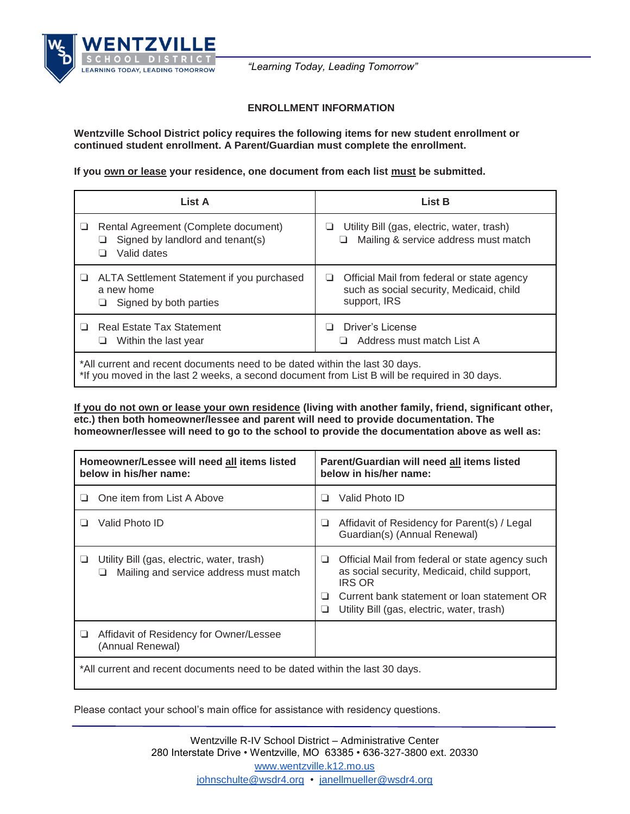

*"Learning Today, Leading Tomorrow"*

## **ENROLLMENT INFORMATION**

**Wentzville School District policy requires the following items for new student enrollment or continued student enrollment. A Parent/Guardian must complete the enrollment.**

If you **own or lease** your residence, one document from each list must be submitted.

|                                                                                                                                                                              | List A                                                                                  | <b>List B</b>                                                                                               |  |
|------------------------------------------------------------------------------------------------------------------------------------------------------------------------------|-----------------------------------------------------------------------------------------|-------------------------------------------------------------------------------------------------------------|--|
|                                                                                                                                                                              | Rental Agreement (Complete document)<br>Signed by landlord and tenant(s)<br>Valid dates | Utility Bill (gas, electric, water, trash)<br>❏<br>Mailing & service address must match<br>⊔                |  |
|                                                                                                                                                                              | ALTA Settlement Statement if you purchased<br>a new home<br>Signed by both parties      | Official Mail from federal or state agency<br>⊔<br>such as social security, Medicaid, child<br>support, IRS |  |
| $\perp$<br>⊔                                                                                                                                                                 | <b>Real Estate Tax Statement</b><br>Within the last year                                | Driver's License<br>n<br>$\Box$ Address must match List A                                                   |  |
| *All current and recent documents need to be dated within the last 30 days.<br>*If you moved in the last 2 weeks, a second document from List B will be required in 30 days. |                                                                                         |                                                                                                             |  |

**If you do not own or lease your own residence (living with another family, friend, significant other, etc.) then both homeowner/lessee and parent will need to provide documentation. The homeowner/lessee will need to go to the school to provide the documentation above as well as:**

| Homeowner/Lessee will need all items listed<br>below in his/her name:                     | Parent/Guardian will need all items listed<br>below in his/her name:                                                                                                                                                              |  |  |
|-------------------------------------------------------------------------------------------|-----------------------------------------------------------------------------------------------------------------------------------------------------------------------------------------------------------------------------------|--|--|
| One item from List A Above                                                                | Valid Photo ID<br>ш                                                                                                                                                                                                               |  |  |
| Valid Photo ID                                                                            | Affidavit of Residency for Parent(s) / Legal<br>⊔<br>Guardian(s) (Annual Renewal)                                                                                                                                                 |  |  |
| Utility Bill (gas, electric, water, trash)<br>⊔<br>Mailing and service address must match | Official Mail from federal or state agency such<br>❏<br>as social security, Medicaid, child support,<br><b>IRS OR</b><br>Current bank statement or loan statement OR<br>ш<br>Utility Bill (gas, electric, water, trash)<br>$\Box$ |  |  |
| Affidavit of Residency for Owner/Lessee<br>⊔<br>(Annual Renewal)                          |                                                                                                                                                                                                                                   |  |  |
| *All current and recent documents need to be dated within the last 30 days.               |                                                                                                                                                                                                                                   |  |  |

Please contact your school's main office for assistance with residency questions.